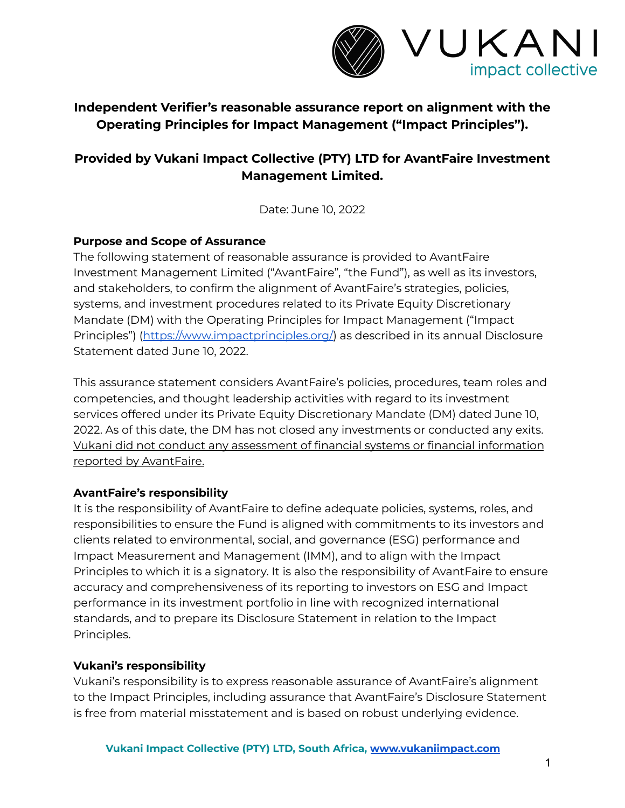

## **Independent Verifier's reasonable assurance report on alignment with the Operating Principles for Impact Management ("Impact Principles").**

# **Provided by Vukani Impact Collective (PTY) LTD for AvantFaire Investment Management Limited.**

Date: June 10, 2022

## **Purpose and Scope of Assurance**

The following statement of reasonable assurance is provided to AvantFaire Investment Management Limited ("AvantFaire", "the Fund"), as well as its investors, and stakeholders, to confirm the alignment of AvantFaire's strategies, policies, systems, and investment procedures related to its Private Equity Discretionary Mandate (DM) with the Operating Principles for Impact Management ("Impact Principles") [\(https://www.impactprinciples.org/\)](https://www.impactprinciples.org/) as described in its annual Disclosure Statement dated June 10, 2022.

This assurance statement considers AvantFaire's policies, procedures, team roles and competencies, and thought leadership activities with regard to its investment services offered under its Private Equity Discretionary Mandate (DM) dated June 10, 2022. As of this date, the DM has not closed any investments or conducted any exits. Vukani did not conduct any assessment of financial systems or financial information reported by AvantFaire.

### **AvantFaire's responsibility**

It is the responsibility of AvantFaire to define adequate policies, systems, roles, and responsibilities to ensure the Fund is aligned with commitments to its investors and clients related to environmental, social, and governance (ESG) performance and Impact Measurement and Management (IMM), and to align with the Impact Principles to which it is a signatory. It is also the responsibility of AvantFaire to ensure accuracy and comprehensiveness of its reporting to investors on ESG and Impact performance in its investment portfolio in line with recognized international standards, and to prepare its Disclosure Statement in relation to the Impact Principles.

### **Vukani's responsibility**

Vukani's responsibility is to express reasonable assurance of AvantFaire's alignment to the Impact Principles, including assurance that AvantFaire's Disclosure Statement is free from material misstatement and is based on robust underlying evidence.